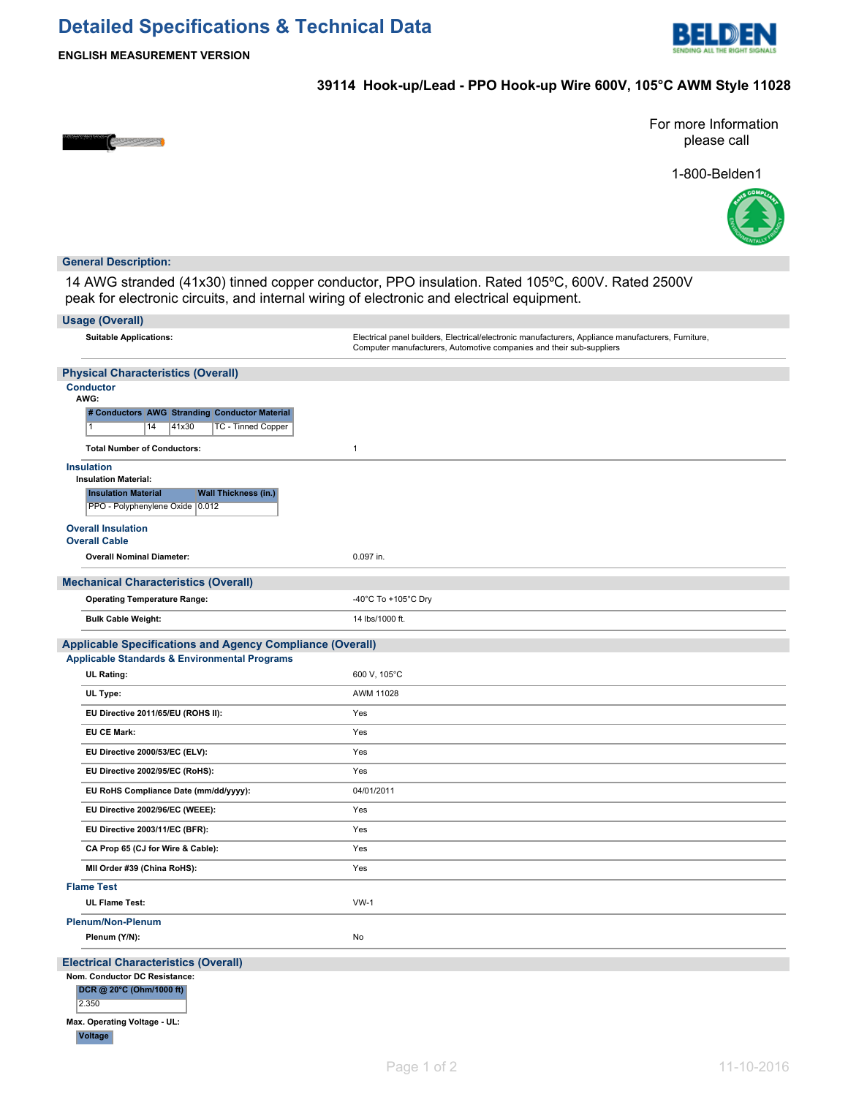# **Detailed Specifications & Technical Data**



**ENGLISH MEASUREMENT VERSION**

## **39114 Hook-up/Lead - PPO Hook-up Wire 600V, 105°C AWM Style 11028**



For more Information please call





## **General Description:**

14 AWG stranded (41x30) tinned copper conductor, PPO insulation. Rated 105ºC, 600V. Rated 2500V peak for electronic circuits, and internal wiring of electronic and electrical equipment.

| <b>Usage (Overall)</b>                                                                                                                           |                                                                                                                                                                             |
|--------------------------------------------------------------------------------------------------------------------------------------------------|-----------------------------------------------------------------------------------------------------------------------------------------------------------------------------|
| <b>Suitable Applications:</b>                                                                                                                    | Electrical panel builders, Electrical/electronic manufacturers, Appliance manufacturers, Furniture,<br>Computer manufacturers, Automotive companies and their sub-suppliers |
| <b>Physical Characteristics (Overall)</b>                                                                                                        |                                                                                                                                                                             |
| <b>Conductor</b><br>AWG:                                                                                                                         |                                                                                                                                                                             |
| # Conductors AWG Stranding Conductor Material<br>41x30<br>TC - Tinned Copper<br>1<br>14                                                          |                                                                                                                                                                             |
| <b>Total Number of Conductors:</b>                                                                                                               | $\mathbf{1}$                                                                                                                                                                |
| <b>Insulation</b><br><b>Insulation Material:</b><br><b>Insulation Material</b><br><b>Wall Thickness (in.)</b><br>PPO - Polyphenylene Oxide 0.012 |                                                                                                                                                                             |
| <b>Overall Insulation</b>                                                                                                                        |                                                                                                                                                                             |
| <b>Overall Cable</b><br><b>Overall Nominal Diameter:</b>                                                                                         | 0.097 in.                                                                                                                                                                   |
| <b>Mechanical Characteristics (Overall)</b>                                                                                                      |                                                                                                                                                                             |
| <b>Operating Temperature Range:</b>                                                                                                              | -40°C To +105°C Dry                                                                                                                                                         |
| <b>Bulk Cable Weight:</b>                                                                                                                        | 14 lbs/1000 ft.                                                                                                                                                             |
| <b>Applicable Specifications and Agency Compliance (Overall)</b>                                                                                 |                                                                                                                                                                             |
| <b>Applicable Standards &amp; Environmental Programs</b>                                                                                         |                                                                                                                                                                             |
| <b>UL Rating:</b>                                                                                                                                | 600 V, 105°C                                                                                                                                                                |
| UL Type:                                                                                                                                         | AWM 11028                                                                                                                                                                   |
| EU Directive 2011/65/EU (ROHS II):                                                                                                               | Yes                                                                                                                                                                         |
| <b>EU CE Mark:</b>                                                                                                                               | Yes                                                                                                                                                                         |
| EU Directive 2000/53/EC (ELV):                                                                                                                   | Yes                                                                                                                                                                         |
| EU Directive 2002/95/EC (RoHS):                                                                                                                  | Yes                                                                                                                                                                         |
| EU RoHS Compliance Date (mm/dd/yyyy):                                                                                                            | 04/01/2011                                                                                                                                                                  |
| EU Directive 2002/96/EC (WEEE):                                                                                                                  | Yes                                                                                                                                                                         |
| EU Directive 2003/11/EC (BFR):                                                                                                                   | Yes                                                                                                                                                                         |
| CA Prop 65 (CJ for Wire & Cable):                                                                                                                | Yes                                                                                                                                                                         |
| MII Order #39 (China RoHS):                                                                                                                      | Yes                                                                                                                                                                         |
| <b>Flame Test</b>                                                                                                                                |                                                                                                                                                                             |
| <b>UL Flame Test:</b>                                                                                                                            | $VW-1$                                                                                                                                                                      |
| <b>Plenum/Non-Plenum</b><br>Plenum (Y/N):                                                                                                        | No                                                                                                                                                                          |
|                                                                                                                                                  |                                                                                                                                                                             |
| <b>Electrical Characteristics (Overall)</b>                                                                                                      |                                                                                                                                                                             |
| Nom. Conductor DC Resistance:<br>DCR @ 20°C (Ohm/1000 ft)<br>2.350                                                                               |                                                                                                                                                                             |
| Max. Operating Voltage - UL:<br><b>Voltage</b>                                                                                                   |                                                                                                                                                                             |